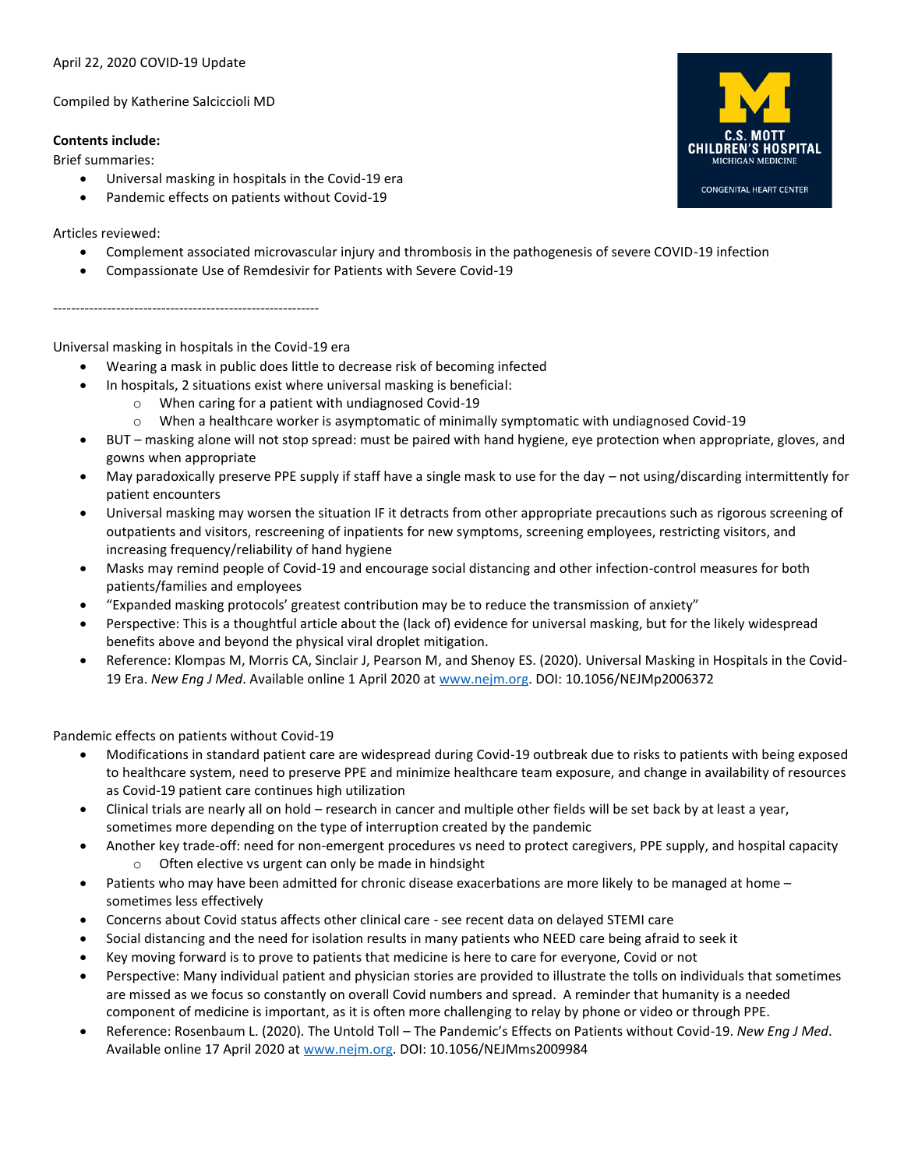### April 22, 2020 COVID-19 Update

Compiled by Katherine Salciccioli MD

### **Contents include:**

Brief summaries:

- Universal masking in hospitals in the Covid-19 era
- Pandemic effects on patients without Covid-19

# Articles reviewed:

- Complement associated microvascular injury and thrombosis in the pathogenesis of severe COVID-19 infection
- Compassionate Use of Remdesivir for Patients with Severe Covid-19

-----------------------------------------------------------

# Universal masking in hospitals in the Covid-19 era

- Wearing a mask in public does little to decrease risk of becoming infected
- In hospitals, 2 situations exist where universal masking is beneficial:
	- o When caring for a patient with undiagnosed Covid-19
	- o When a healthcare worker is asymptomatic of minimally symptomatic with undiagnosed Covid-19
- BUT masking alone will not stop spread: must be paired with hand hygiene, eye protection when appropriate, gloves, and gowns when appropriate
- May paradoxically preserve PPE supply if staff have a single mask to use for the day not using/discarding intermittently for patient encounters
- Universal masking may worsen the situation IF it detracts from other appropriate precautions such as rigorous screening of outpatients and visitors, rescreening of inpatients for new symptoms, screening employees, restricting visitors, and increasing frequency/reliability of hand hygiene
- Masks may remind people of Covid-19 and encourage social distancing and other infection-control measures for both patients/families and employees
- "Expanded masking protocols' greatest contribution may be to reduce the transmission of anxiety"
- Perspective: This is a thoughtful article about the (lack of) evidence for universal masking, but for the likely widespread benefits above and beyond the physical viral droplet mitigation.
- Reference: Klompas M, Morris CA, Sinclair J, Pearson M, and Shenoy ES. (2020). Universal Masking in Hospitals in the Covid-19 Era. *New Eng J Med*. Available online 1 April 2020 a[t www.nejm.org.](http://www.nejm.org/) DOI: 10.1056/NEJMp2006372

Pandemic effects on patients without Covid-19

- Modifications in standard patient care are widespread during Covid-19 outbreak due to risks to patients with being exposed to healthcare system, need to preserve PPE and minimize healthcare team exposure, and change in availability of resources as Covid-19 patient care continues high utilization
- Clinical trials are nearly all on hold research in cancer and multiple other fields will be set back by at least a year, sometimes more depending on the type of interruption created by the pandemic
- Another key trade-off: need for non-emergent procedures vs need to protect caregivers, PPE supply, and hospital capacity
	- o Often elective vs urgent can only be made in hindsight
- Patients who may have been admitted for chronic disease exacerbations are more likely to be managed at home sometimes less effectively
- Concerns about Covid status affects other clinical care see recent data on delayed STEMI care
- Social distancing and the need for isolation results in many patients who NEED care being afraid to seek it
- Key moving forward is to prove to patients that medicine is here to care for everyone, Covid or not
- Perspective: Many individual patient and physician stories are provided to illustrate the tolls on individuals that sometimes are missed as we focus so constantly on overall Covid numbers and spread. A reminder that humanity is a needed component of medicine is important, as it is often more challenging to relay by phone or video or through PPE.
- Reference: Rosenbaum L. (2020). The Untold Toll The Pandemic's Effects on Patients without Covid-19. *New Eng J Med*. Available online 17 April 2020 a[t www.nejm.org.](http://www.nejm.org/) DOI: 10.1056/NEJMms2009984

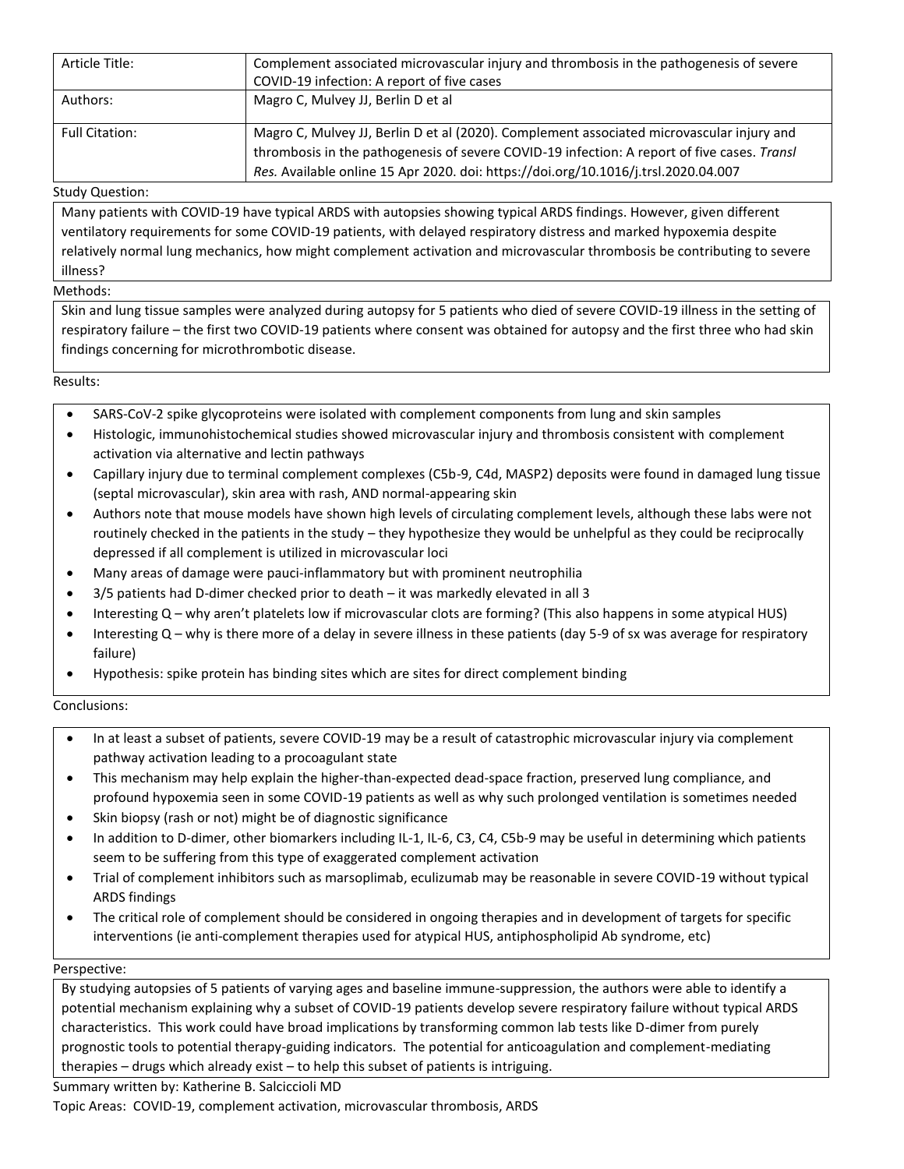| Article Title:        | Complement associated microvascular injury and thrombosis in the pathogenesis of severe<br>COVID-19 infection: A report of five cases                                                                                                                                          |
|-----------------------|--------------------------------------------------------------------------------------------------------------------------------------------------------------------------------------------------------------------------------------------------------------------------------|
| Authors:              | Magro C, Mulvey JJ, Berlin D et al                                                                                                                                                                                                                                             |
| <b>Full Citation:</b> | Magro C, Mulvey JJ, Berlin D et al (2020). Complement associated microvascular injury and<br>thrombosis in the pathogenesis of severe COVID-19 infection: A report of five cases. Transl<br>Res. Available online 15 Apr 2020. doi: https://doi.org/10.1016/j.trsl.2020.04.007 |

### Study Question:

Many patients with COVID-19 have typical ARDS with autopsies showing typical ARDS findings. However, given different ventilatory requirements for some COVID-19 patients, with delayed respiratory distress and marked hypoxemia despite relatively normal lung mechanics, how might complement activation and microvascular thrombosis be contributing to severe illness?

# Methods:

Skin and lung tissue samples were analyzed during autopsy for 5 patients who died of severe COVID-19 illness in the setting of respiratory failure – the first two COVID-19 patients where consent was obtained for autopsy and the first three who had skin findings concerning for microthrombotic disease.

Results:

- SARS-CoV-2 spike glycoproteins were isolated with complement components from lung and skin samples
- Histologic, immunohistochemical studies showed microvascular injury and thrombosis consistent with complement activation via alternative and lectin pathways
- Capillary injury due to terminal complement complexes (C5b-9, C4d, MASP2) deposits were found in damaged lung tissue (septal microvascular), skin area with rash, AND normal-appearing skin
- Authors note that mouse models have shown high levels of circulating complement levels, although these labs were not routinely checked in the patients in the study – they hypothesize they would be unhelpful as they could be reciprocally depressed if all complement is utilized in microvascular loci
- Many areas of damage were pauci-inflammatory but with prominent neutrophilia
- 3/5 patients had D-dimer checked prior to death it was markedly elevated in all 3
- Interesting Q why aren't platelets low if microvascular clots are forming? (This also happens in some atypical HUS)
- Interesting Q why is there more of a delay in severe illness in these patients (day 5-9 of sx was average for respiratory failure)
- Hypothesis: spike protein has binding sites which are sites for direct complement binding

Conclusions:

- In at least a subset of patients, severe COVID-19 may be a result of catastrophic microvascular injury via complement pathway activation leading to a procoagulant state
- This mechanism may help explain the higher-than-expected dead-space fraction, preserved lung compliance, and profound hypoxemia seen in some COVID-19 patients as well as why such prolonged ventilation is sometimes needed
- Skin biopsy (rash or not) might be of diagnostic significance
- In addition to D-dimer, other biomarkers including IL-1, IL-6, C3, C4, C5b-9 may be useful in determining which patients seem to be suffering from this type of exaggerated complement activation
- Trial of complement inhibitors such as marsoplimab, eculizumab may be reasonable in severe COVID-19 without typical ARDS findings
- The critical role of complement should be considered in ongoing therapies and in development of targets for specific interventions (ie anti-complement therapies used for atypical HUS, antiphospholipid Ab syndrome, etc)

#### Perspective:

By studying autopsies of 5 patients of varying ages and baseline immune-suppression, the authors were able to identify a potential mechanism explaining why a subset of COVID-19 patients develop severe respiratory failure without typical ARDS characteristics. This work could have broad implications by transforming common lab tests like D-dimer from purely prognostic tools to potential therapy-guiding indicators. The potential for anticoagulation and complement-mediating therapies – drugs which already exist – to help this subset of patients is intriguing.

Summary written by: Katherine B. Salciccioli MD

Topic Areas: COVID-19, complement activation, microvascular thrombosis, ARDS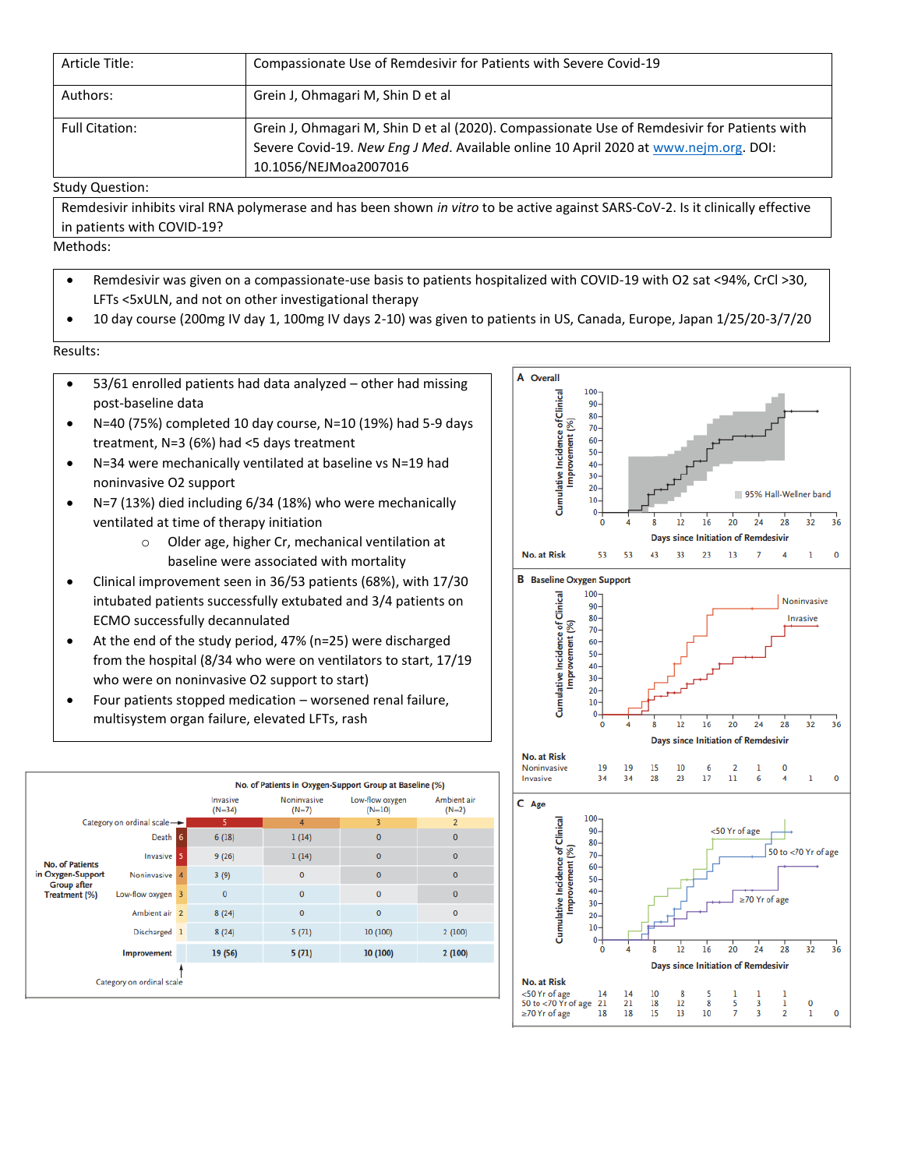| Article Title:        | Compassionate Use of Remdesivir for Patients with Severe Covid-19                                                                                                                                            |
|-----------------------|--------------------------------------------------------------------------------------------------------------------------------------------------------------------------------------------------------------|
| Authors:              | Grein J, Ohmagari M, Shin D et al                                                                                                                                                                            |
| <b>Full Citation:</b> | Grein J, Ohmagari M, Shin D et al (2020). Compassionate Use of Remdesivir for Patients with<br>Severe Covid-19. New Eng J Med. Available online 10 April 2020 at www.nejm.org. DOI:<br>10.1056/NEJMoa2007016 |

### Study Question:

Remdesivir inhibits viral RNA polymerase and has been shown *in vitro* to be active against SARS-CoV-2. Is it clinically effective in patients with COVID-19?

Methods:

- Remdesivir was given on a compassionate-use basis to patients hospitalized with COVID-19 with O2 sat <94%, CrCl >30, LFTs <5xULN, and not on other investigational therapy
- 10 day course (200mg IV day 1, 100mg IV days 2-10) was given to patients in US, Canada, Europe, Japan 1/25/20-3/7/20

Results:

- 53/61 enrolled patients had data analyzed other had missing post-baseline data
- N=40 (75%) completed 10 day course, N=10 (19%) had 5-9 days treatment, N=3 (6%) had <5 days treatment
- N=34 were mechanically ventilated at baseline vs N=19 had noninvasive O2 support
- N=7 (13%) died including 6/34 (18%) who were mechanically ventilated at time of therapy initiation
	- o Older age, higher Cr, mechanical ventilation at baseline were associated with mortality
- Clinical improvement seen in 36/53 patients (68%), with 17/30 intubated patients successfully extubated and 3/4 patients on ECMO successfully decannulated
- At the end of the study period, 47% (n=25) were discharged from the hospital (8/34 who were on ventilators to start, 17/19 who were on noninvasive O2 support to start)
- Four patients stopped medication worsened renal failure, multisystem organ failure, elevated LFTs, rash